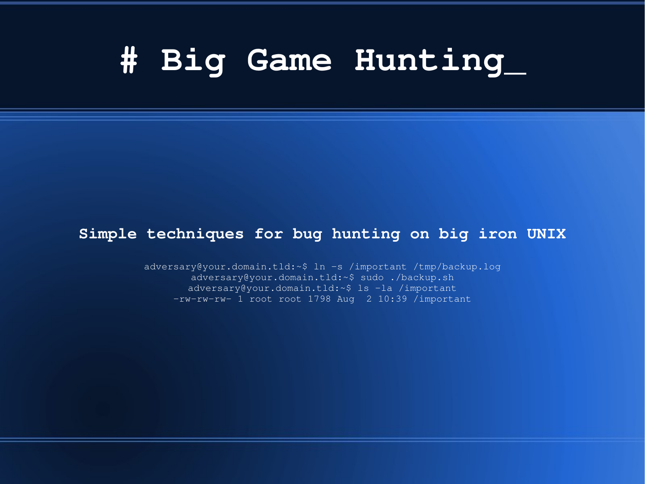#### **# Big Game Hunting\_**

#### **Simple techniques for bug hunting on big iron UNIX**

adversary@your.domain.tld:~\$ ln -s /important /tmp/backup.log adversary@your.domain.tld:~\$ sudo ./backup.sh adversary@your.domain.tld:~\$ ls -la /important  $-rw-rw-rw-1$  root root 1798 Aug 2 10:39 /important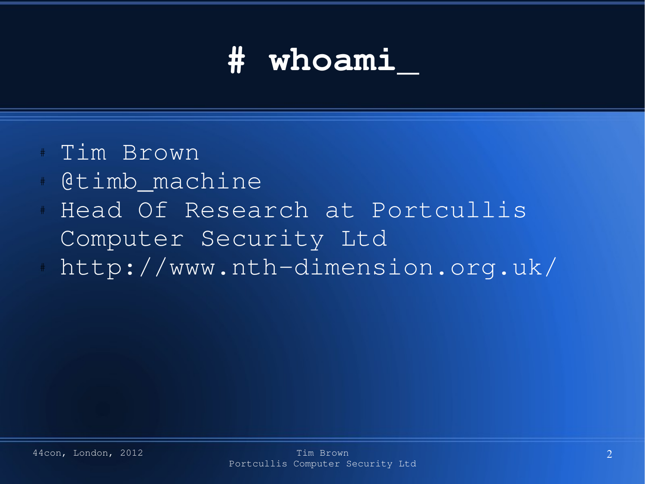#### **# whoami\_**

- Tim Brown
- @timb machine
- Head Of Research at Portcullis Computer Security Ltd
- http://www.nth-dimension.org.uk/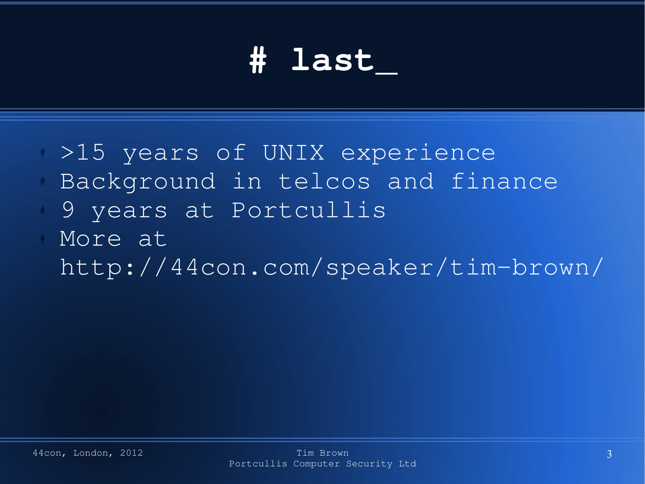#### **# last\_**

- # >15 years of UNIX experience
- Background in telcos and finance
- 9 years at Portcullis
- More at

http://44con.com/speaker/timbrown/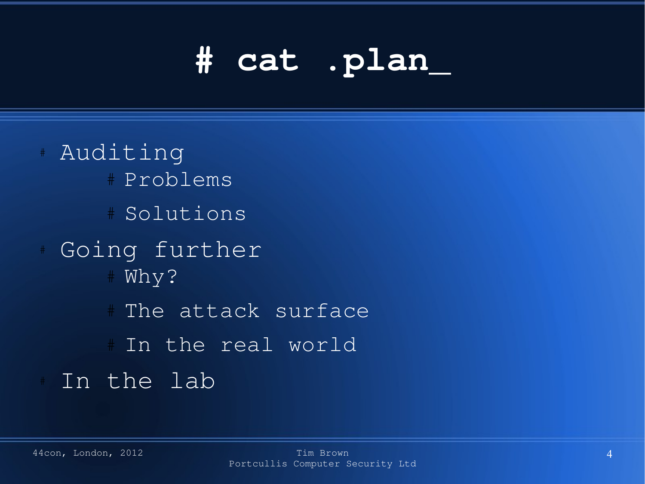# **# cat .plan\_**

# Auditing # Problems # Solutions Going further # Why? # The attack surface # In the real world In the lab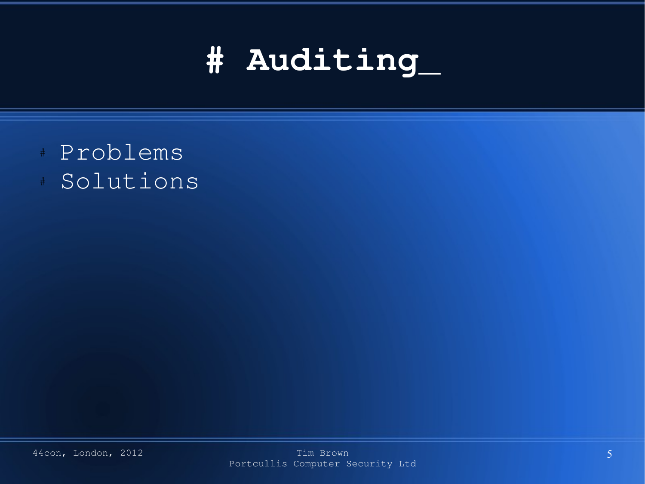#### **# Auditing\_**

- # Problems
- Solutions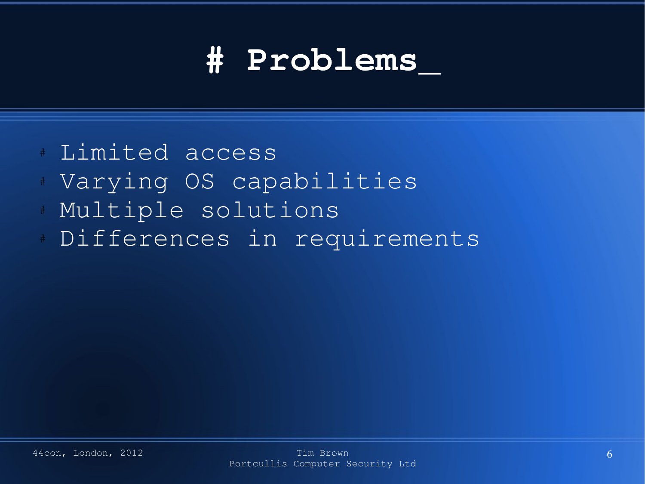#### **# Problems\_**

- Limited access
- Varying OS capabilities
- Multiple solutions
- Differences in requirements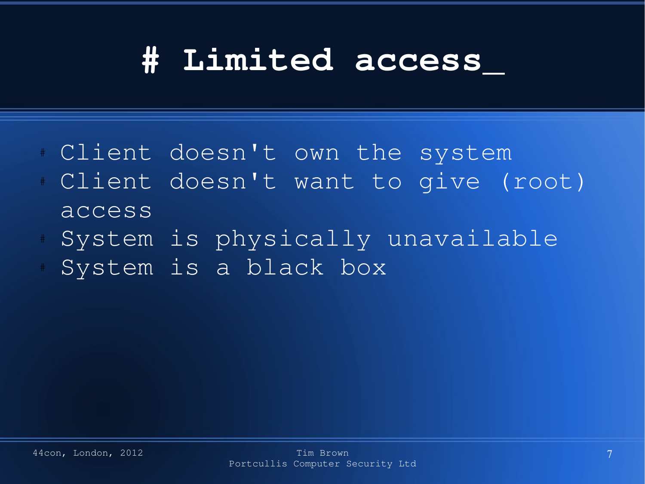#### **# Limited access\_**

- # Client doesn't own the system
- Client doesn't want to give (root) access
- System is physically unavailable
- System is a black box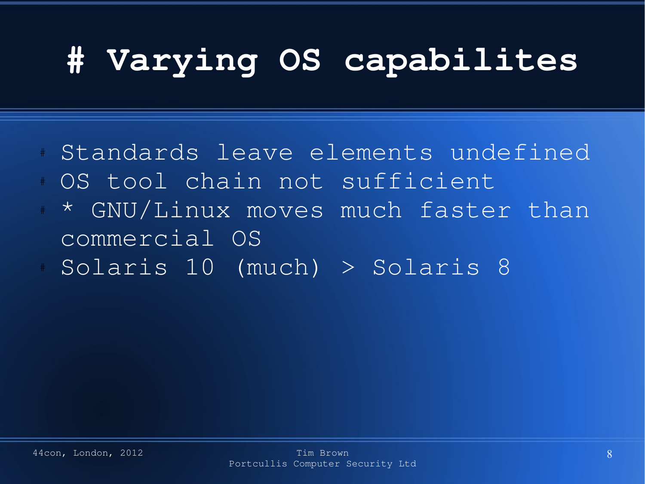### **# Varying OS capabilites**

- Standards leave elements undefined OS tool chain not sufficient
- \* GNU/Linux moves much faster than commercial OS
- Solaris 10 (much) > Solaris 8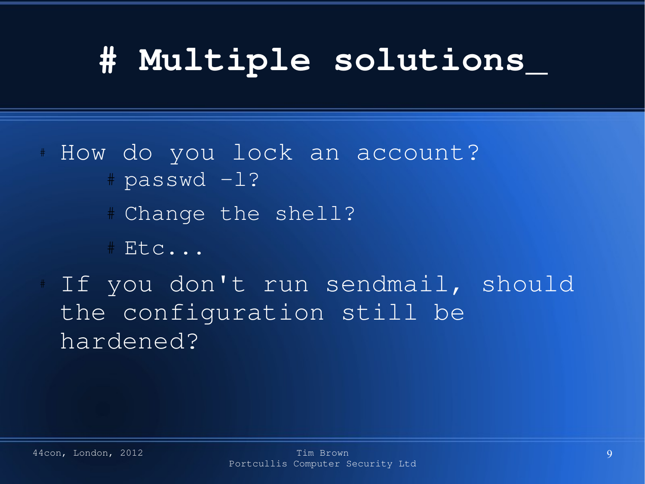## **# Multiple solutions\_**

- # How do you lock an account?  $#$  passwd  $-1?$ 
	- # Change the shell?
	- # Etc...
- If you don't run sendmail, should the configuration still be hardened?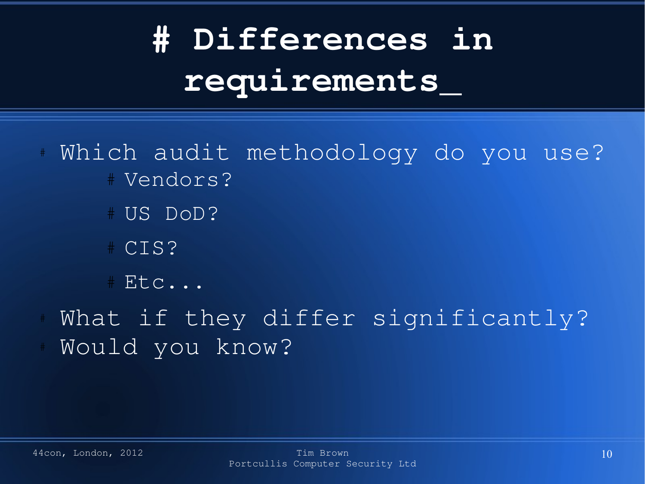# **# Differences in requirements\_**

- Which audit methodology do you use? # Vendors?
	- # US DoD?
	- # CIS?
	- # Etc...
- What if they differ significantly? Would you know?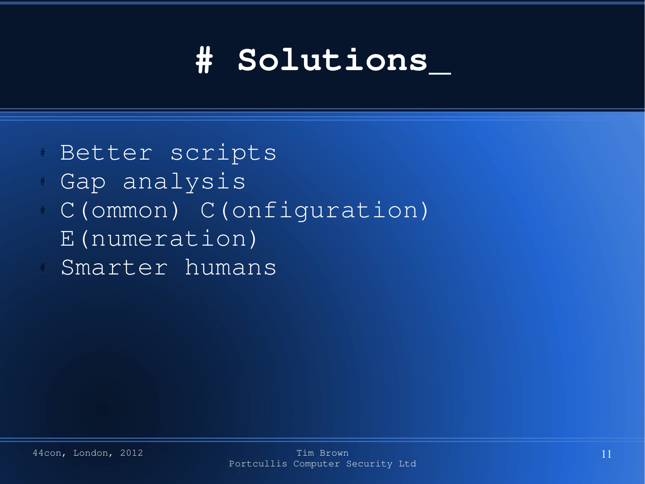### **# Solutions\_**

- Better scripts
- Gap analysis
- C(ommon) C(onfiguration)
- E(numeration)
- Smarter humans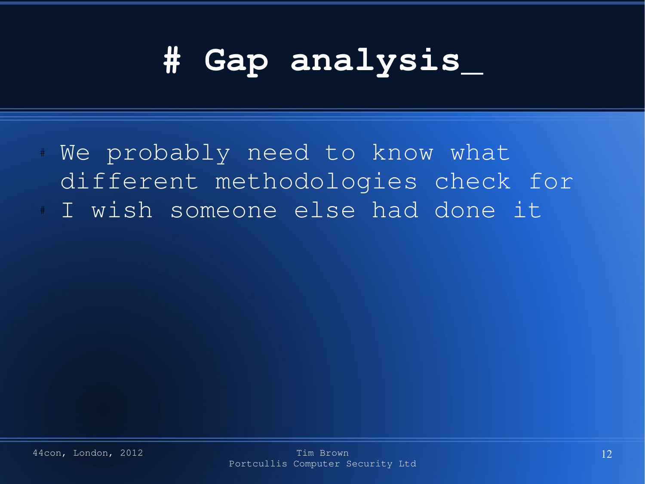#### **# Gap analysis\_**

We probably need to know what different methodologies check for I wish someone else had done it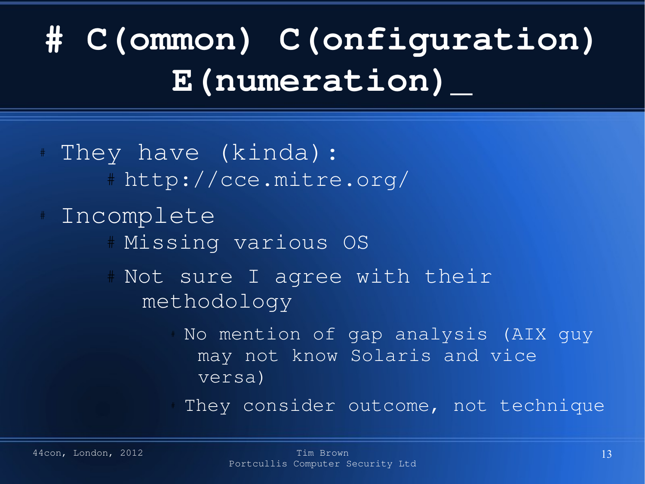# **# C(ommon) C(onfiguration) E(numeration)\_**

- They have (kinda): # http://cce.mitre.org/ Incomplete # Missing various OS # Not sure I agree with their methodology No mention of gap analysis (AIX guy may not know Solaris and vice versa)
	- They consider outcome, not technique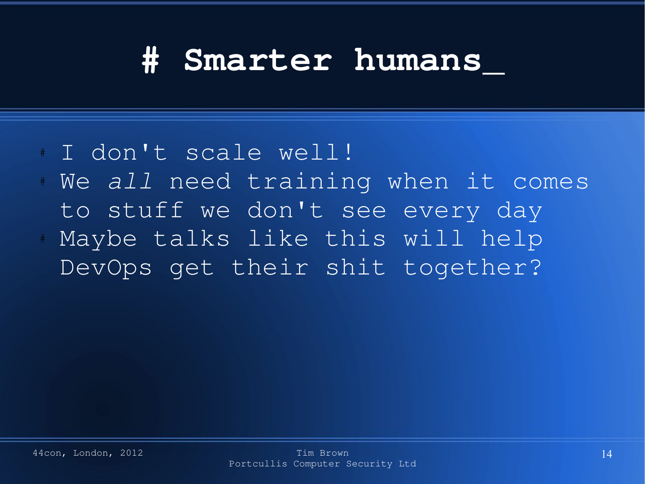#### **# Smarter humans\_**

- I don't scale well!
- We all need training when it comes to stuff we don't see every day
- Maybe talks like this will help DevOps get their shit together?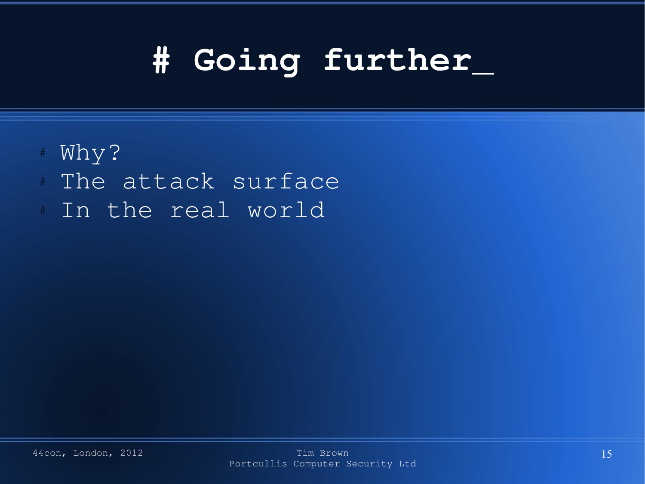## **# Going further\_**

- # Why?
- The attack surface
- In the real world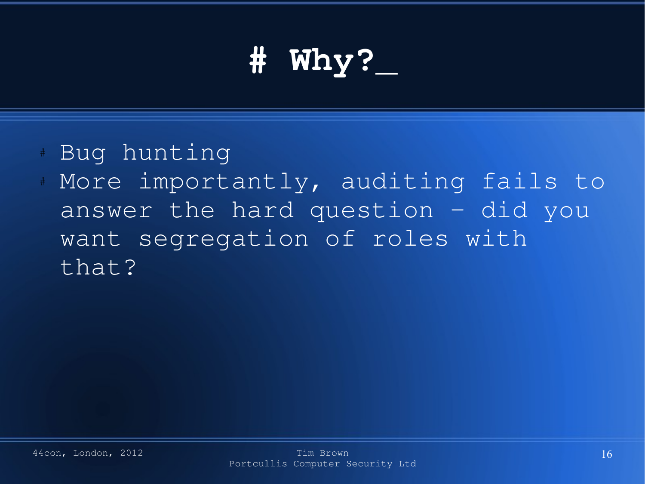# **# Why?\_**

- Bug hunting
- More importantly, auditing fails to answer the hard question – did you want segregation of roles with that?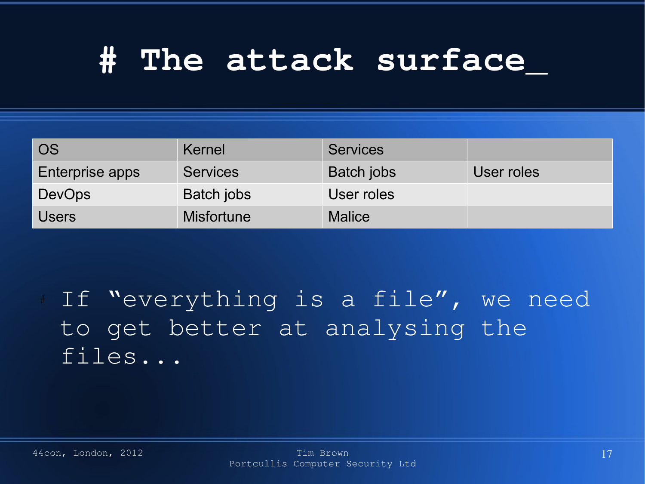#### **# The attack surface\_**

| <b>OS</b>       | Kernel            | <b>Services</b> |            |
|-----------------|-------------------|-----------------|------------|
| Enterprise apps | <b>Services</b>   | Batch jobs      | User roles |
| <b>DevOps</b>   | Batch jobs        | User roles      |            |
| <b>Users</b>    | <b>Misfortune</b> | <b>Malice</b>   |            |

If "everything is a file", we need to get better at analysing the files...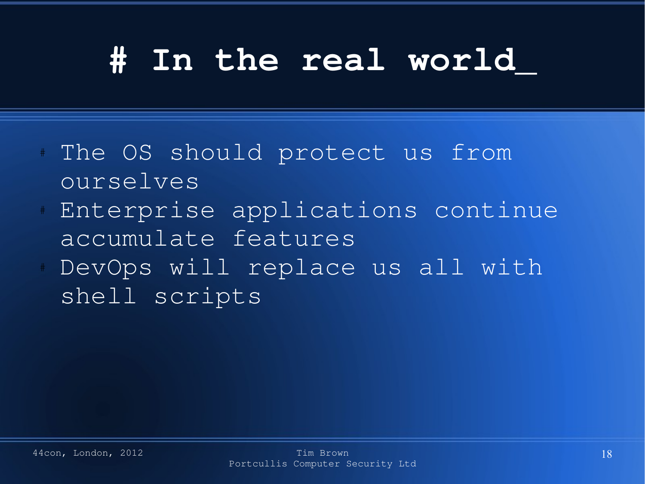#### **# In the real world\_**

- The OS should protect us from ourselves
- Enterprise applications continue accumulate features
- DevOps will replace us all with shell scripts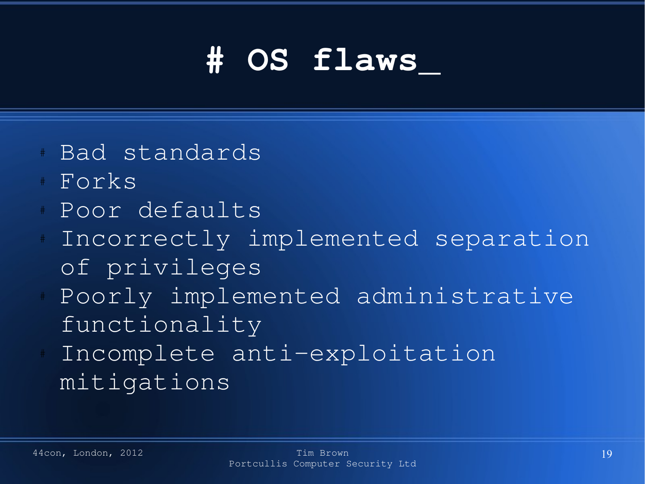## **# OS flaws\_**

- Bad standards
- Forks
- Poor defaults
- Incorrectly implemented separation of privileges
- Poorly implemented administrative functionality
- Incomplete anti-exploitation mitigations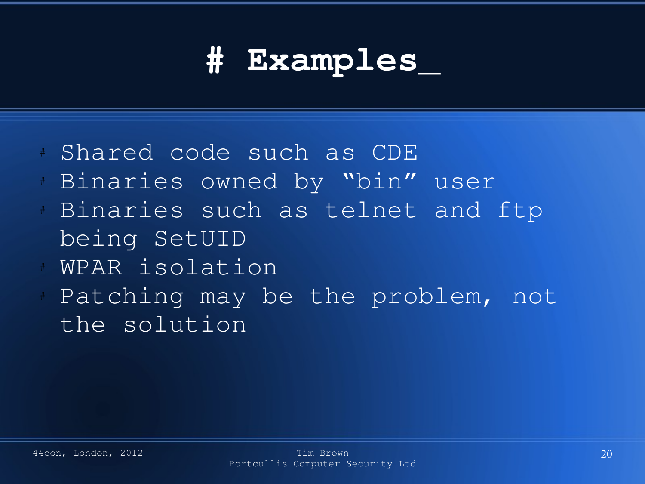#### **# Examples\_**

- Shared code such as CDE
- Binaries owned by "bin" user
- Binaries such as telnet and ftp being SetUID
- WPAR isolation
- Patching may be the problem, not the solution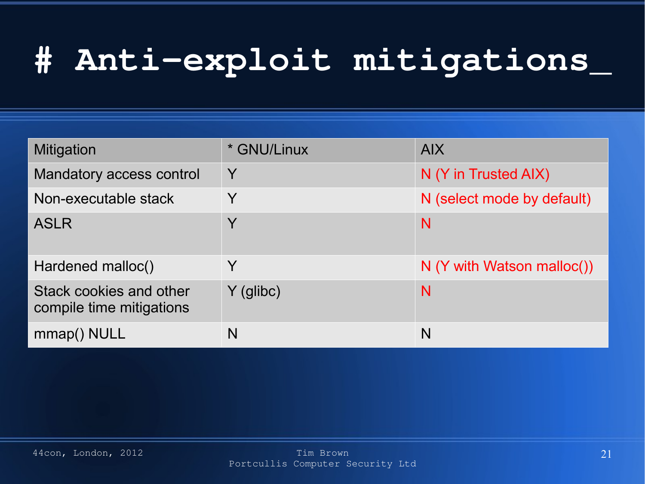#### **# Antiexploit mitigations\_**

| <b>Mitigation</b>                                   | * GNU/Linux  | <b>AIX</b>                   |
|-----------------------------------------------------|--------------|------------------------------|
| Mandatory access control                            | Y            | N (Y in Trusted AIX)         |
| Non-executable stack                                | Y            | N (select mode by default)   |
| <b>ASLR</b>                                         | Y            | N                            |
| Hardened malloc()                                   | $\checkmark$ | $N$ (Y with Watson malloc()) |
| Stack cookies and other<br>compile time mitigations | $Y$ (glibc)  | N                            |
| mmap() NULL                                         | N            | N                            |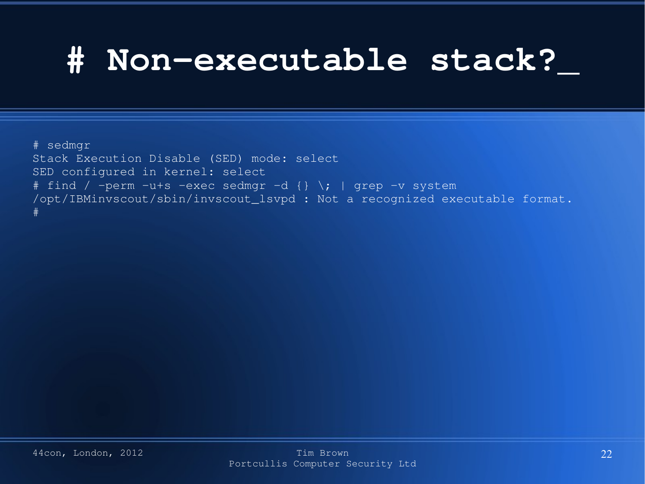#### **# Nonexecutable stack?\_**

# sedmgr

```
Stack Execution Disable (SED) mode: select
SED configured in kernel: select
# find / -perm -u+s -exec sedmgr -d \{\} \; | grep -v system
/opt/IBMinvscout/sbin/invscout_lsvpd : Not a recognized executable format.
#
```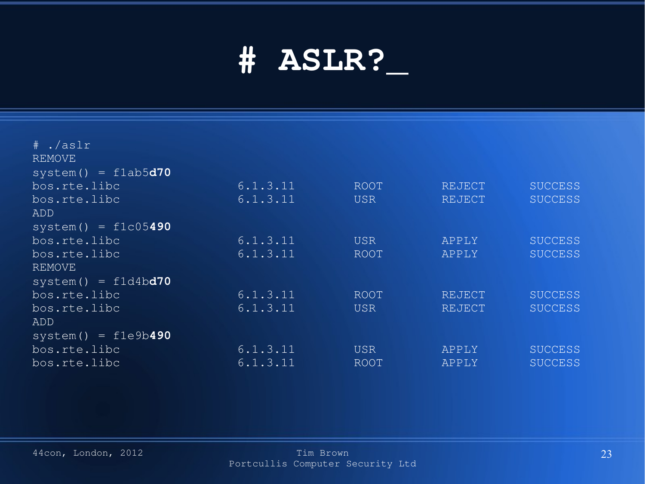#### **# ASLR?\_**

| $#$ ./aslr<br><b>REMOVE</b> |          |            |               |                |
|-----------------------------|----------|------------|---------------|----------------|
|                             |          |            |               |                |
| $system() = f1ab5d70$       |          |            |               |                |
| bos.rte.libc                | 6.1.3.11 | ROOT       | REJECT        | <b>SUCCESS</b> |
| bos.rte.libc                | 6.1.3.11 | <b>USR</b> | <b>REJECT</b> | <b>SUCCESS</b> |
| ADD                         |          |            |               |                |
| $system() = f1c05490$       |          |            |               |                |
| bos.rte.libc                | 6.1.3.11 | <b>USR</b> | APPLY         | <b>SUCCESS</b> |
| bos.rte.libc                | 6.1.3.11 | ROOT       | APPLY         | <b>SUCCESS</b> |
| <b>REMOVE</b>               |          |            |               |                |
| $system() = f1d4bd70$       |          |            |               |                |
| bos.rte.libc                | 6.1.3.11 | ROOT       | REJECT        | <b>SUCCESS</b> |
| bos.rte.libc                | 6.1.3.11 | <b>USR</b> | <b>REJECT</b> | <b>SUCCESS</b> |
| <b>ADD</b>                  |          |            |               |                |
| $system() = f1e9b490$       |          |            |               |                |
| bos.rte.libc                | 6.1.3.11 | <b>USR</b> | APPLY         | <b>SUCCESS</b> |
| bos.rte.libc                | 6.1.3.11 | ROOT       | APPLY         | <b>SUCCESS</b> |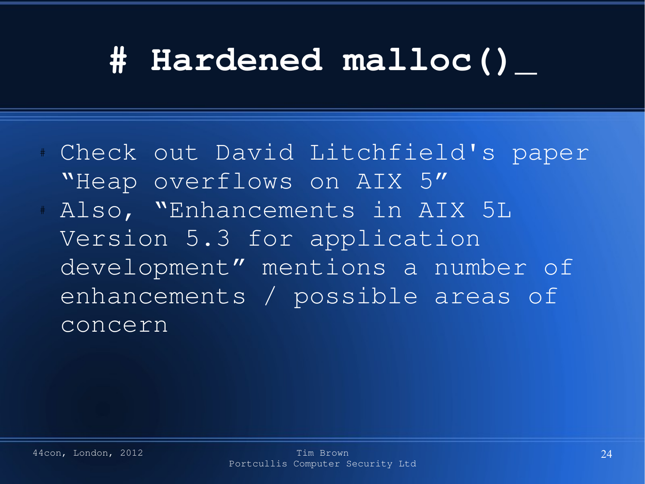#### **# Hardened malloc()\_**

Check out David Litchfield's paper "Heap overflows on AIX 5" Also, "Enhancements in AIX 5L Version 5.3 for application development" mentions a number of enhancements / possible areas of

concern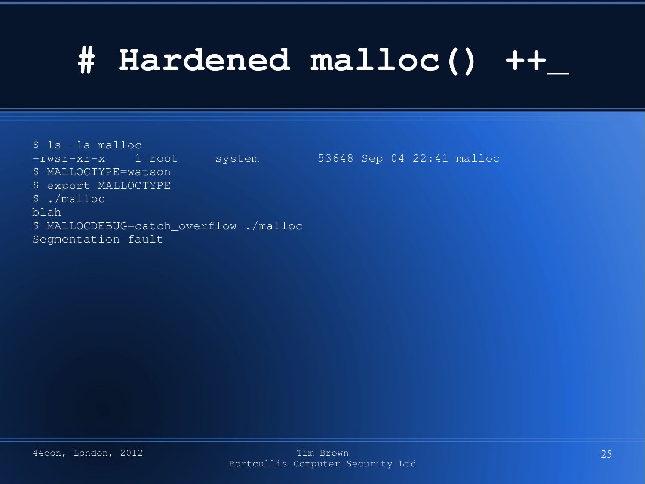#### **# Hardened malloc() ++\_**

 $\overline{\text{S}}$  ls  $\overline{\text{-la}}$  malloc -rwsr-xr-x 1 root system 53648 Sep 04 22:41 malloc \$ MALLOCTYPE=watson \$ export MALLOCTYPE \$ ./malloc blah \$ MALLOCDEBUG=catch\_overflow ./malloc Segmentation fault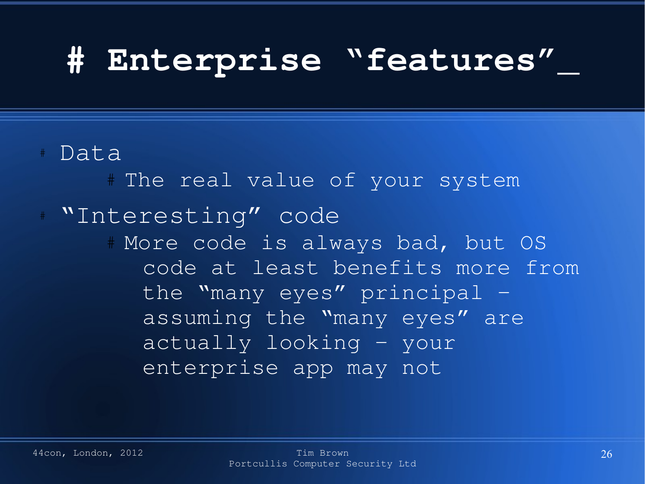#### **# Enterprise "features"\_**

#### Data

# The real value of your system "Interesting" code # More code is always bad, but OS code at least benefits more from the "many eyes" principal – assuming the "many eyes" are actually looking – your enterprise app may not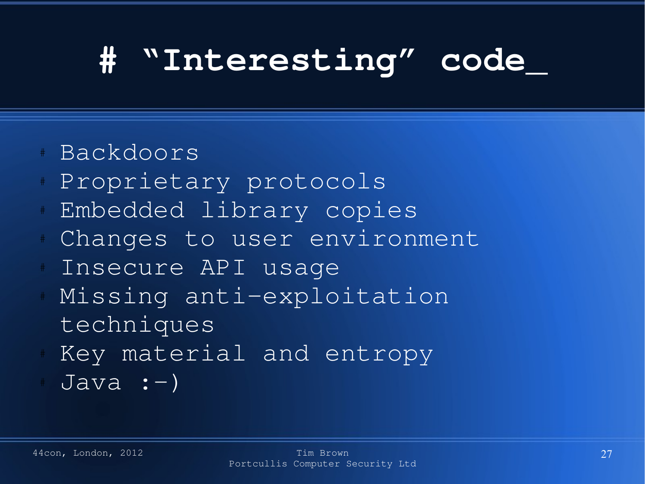#### **# "Interesting" code\_**

#### # Backdoors

- Proprietary protocols
- Embedded library copies
- Changes to user environment
- Insecure API usage
- Missing anti-exploitation techniques
- Key material and entropy
- $Java : -)$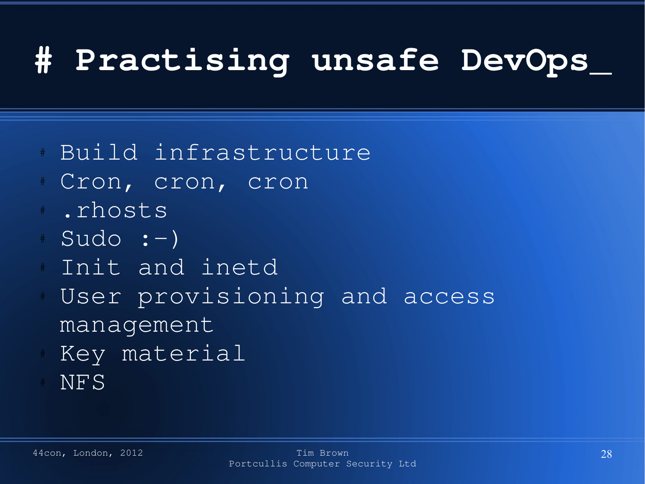#### **# Practising unsafe DevOps\_**

- # Build infrastructure
- Cron, cron, cron
	- .rhosts
- $Sudo : -)$
- Init and inetd
- User provisioning and access management
- Key material
- NFS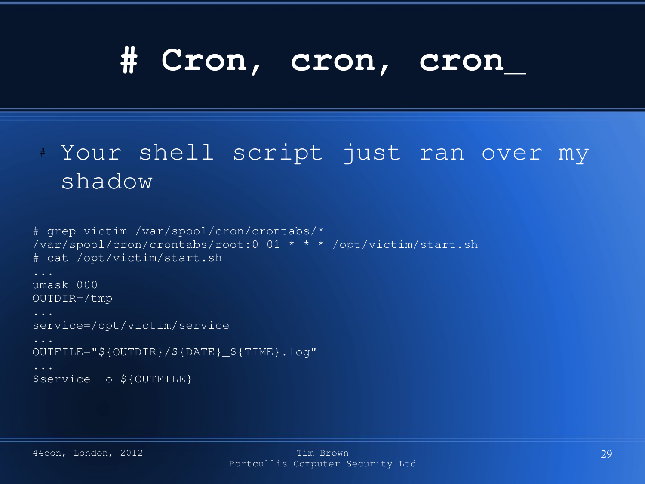#### **# Cron, cron, cron\_**

#### # Your shell script just ran over my shadow

```
# grep victim /var/spool/cron/crontabs/*
/var/spool/cron/crontabs/root:0 01 * * * /opt/victim/start.sh
# cat /opt/victim/start.sh
umask 000
OUTDIR=/tmp
...
service=/opt/victim/service
OUTFILE="${OUTDIR}/${DATE}_${TIME}.log"
$service -o ${OUTFILE}
```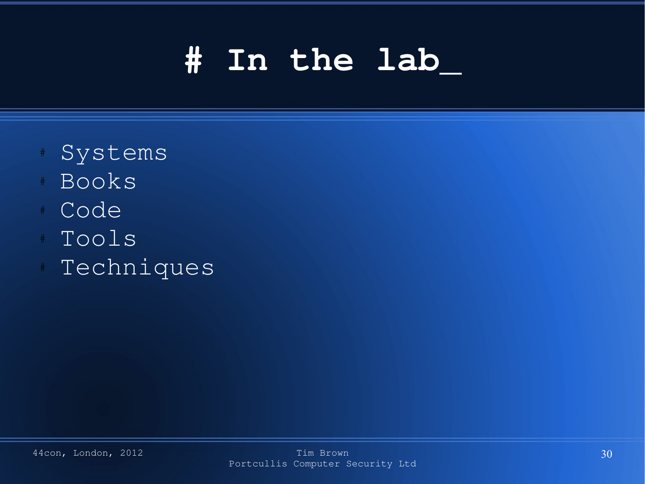#### **# In the lab\_**

- Systems
- **Books**
- Code
- Tools
- Techniques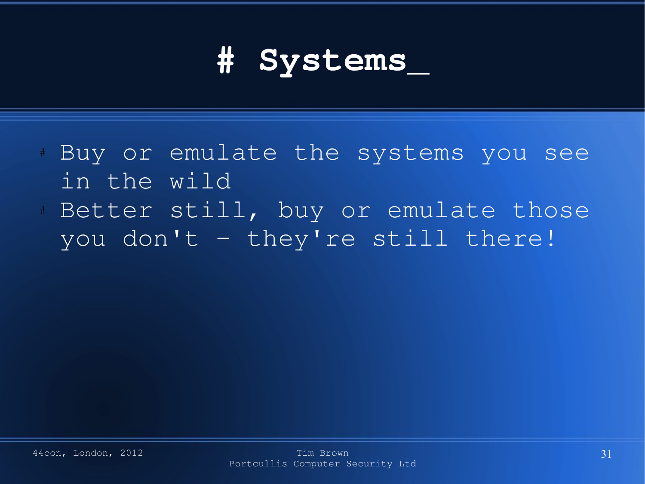## **# Systems\_**

- Buy or emulate the systems you see in the wild
- Better still, buy or emulate those you don't – they're still there!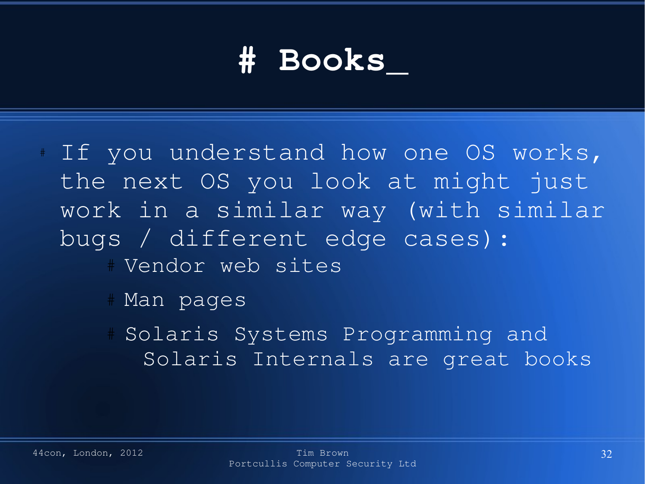#### **# Books\_**

- If you understand how one OS works, the next OS you look at might just work in a similar way (with similar bugs / different edge cases): # Vendor web sites
	- # Man pages
	- Solaris Systems Programming and Solaris Internals are great books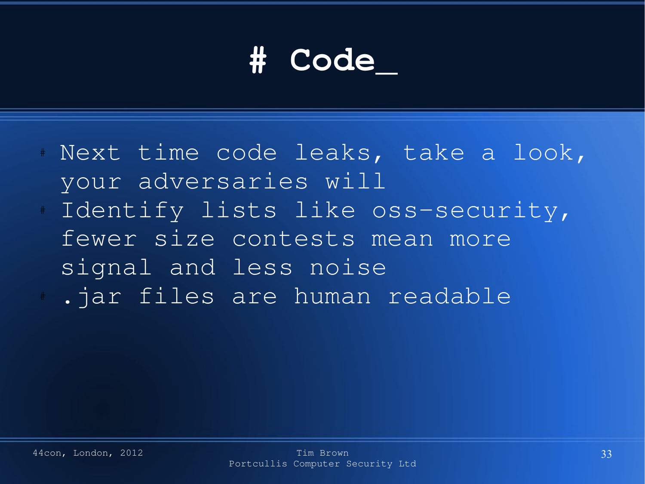## **# Code\_**

- # Next time code leaks, take a look, your adversaries will Identify lists like oss-security, fewer size contests mean more
	- signal and less noise
	- .jar files are human readable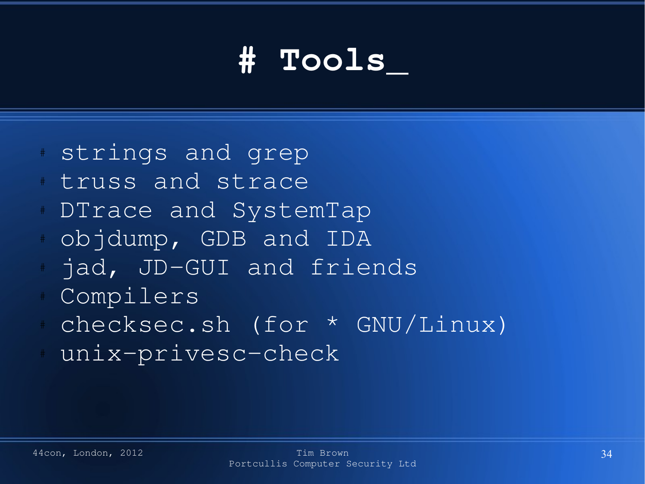## **# Tools\_**

- strings and grep
- truss and strace
- DTrace and SystemTap
- # objdump, GDB and IDA
- jad, JD-GUI and friends
- Compilers
- # checksec.sh (for \* GNU/Linux)
- unix-privesc-check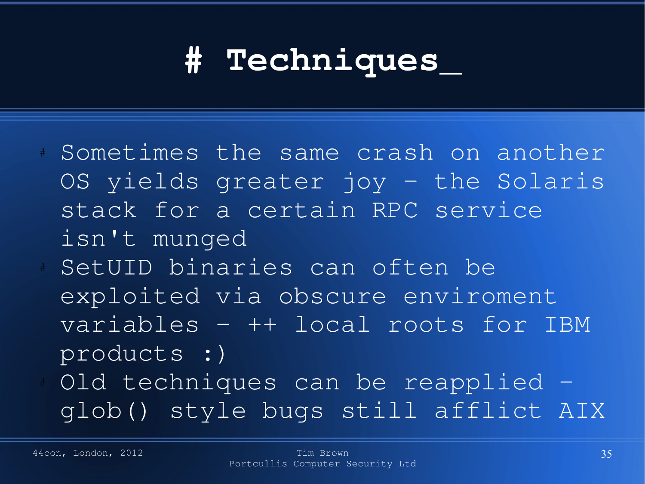#### **# Techniques\_**

- Sometimes the same crash on another OS yields greater joy – the Solaris stack for a certain RPC service isn't munged
- SetUID binaries can often be exploited via obscure enviroment variables – ++ local roots for IBM products :)
- Old techniques can be reapplied glob() style bugs still afflict AIX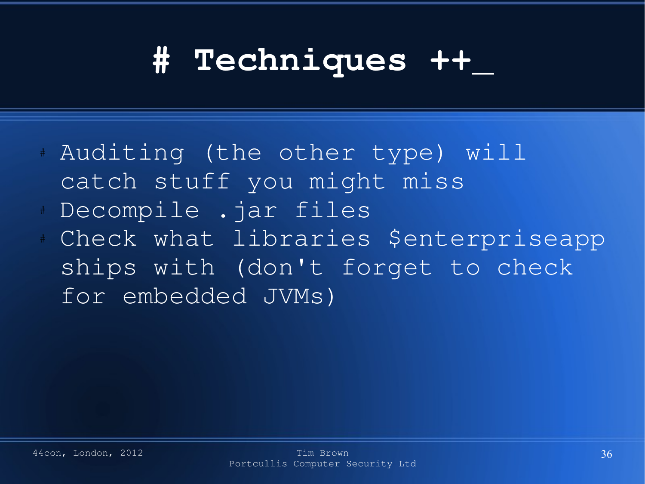#### **# Techniques ++\_**

- # Auditing (the other type) will catch stuff you might miss
- Decompile .jar files
- Check what libraries \$enterpriseapp ships with (don't forget to check for embedded JVMs)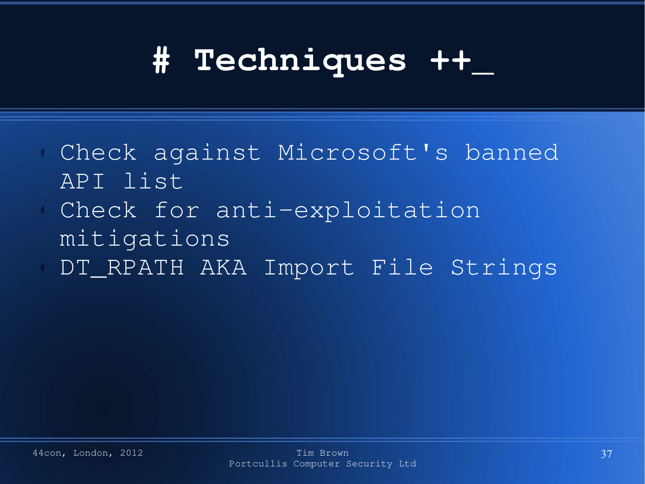#### **# Techniques ++\_**

- Check against Microsoft's banned API list
- Check for anti-exploitation mitigations
- DT\_RPATH AKA Import File Strings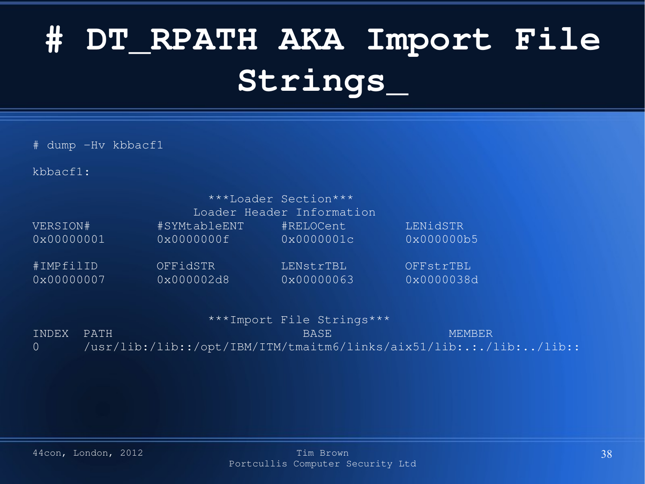# **# DT\_RPATH AKA Import File Strings\_**

# dump -Hv kbbacf1

kbbacf1:

|            |              | ***Loader Section***<br>Loader Header Information |            |  |
|------------|--------------|---------------------------------------------------|------------|--|
| VERSION#   | #SYMtableENT | #RELOCent                                         | LENidSTR   |  |
| 0x00000001 | 0x0000000f   | 0x0000001c                                        | 0x000000b5 |  |
| #IMPfilID  | OFFidSTR     | LENstrTBL                                         | OFFstrTBL  |  |
| 0x00000007 | 0x000002d8   | 0x00000063                                        | 0x0000038d |  |

|  |  | ***Import File Strings*** |
|--|--|---------------------------|
|--|--|---------------------------|

INDEX PATH BASE MEMBER 0 /usr/lib:/lib::/opt/IBM/ITM/tmaitm6/links/aix51/lib:.:./lib:../lib::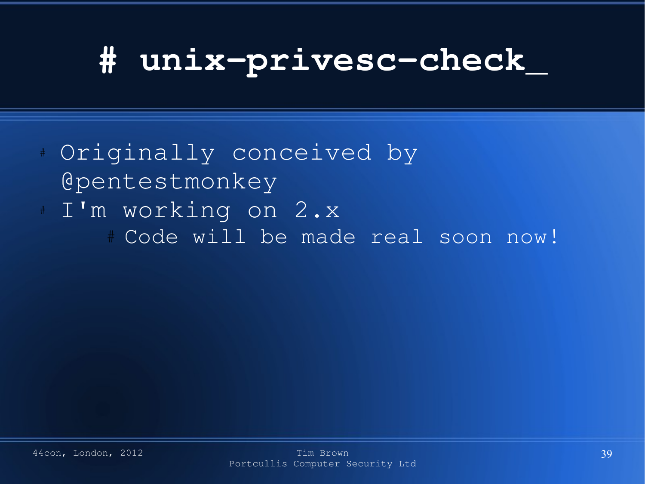## **# unixprivesccheck\_**

# Originally conceived by @pentestmonkey I'm working on 2.x # Code will be made real soon now!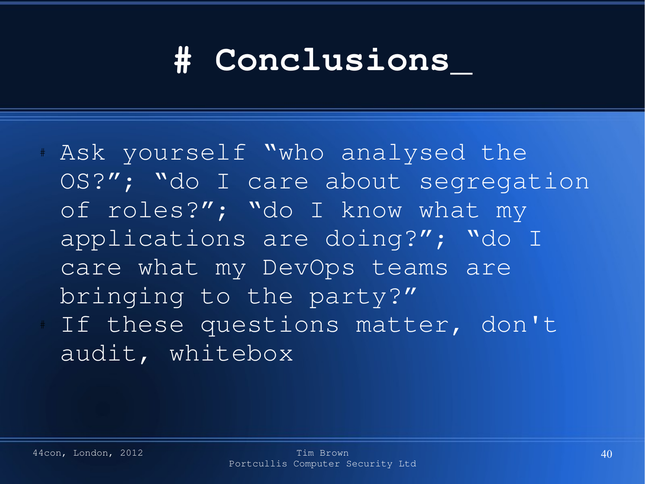#### **# Conclusions\_**

# Ask yourself "who analysed the OS?"; "do I care about segregation of roles?"; "do I know what my applications are doing?"; "do I care what my DevOps teams are bringing to the party?" If these questions matter, don't audit, whitebox